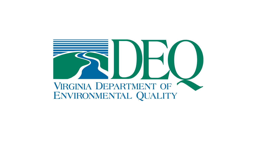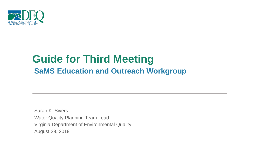

# **Guide for Third Meeting SaMS Education and Outreach Workgroup**

Sarah K. Sivers Water Quality Planning Team Lead August 29, 2019 Virginia Department of Environmental Quality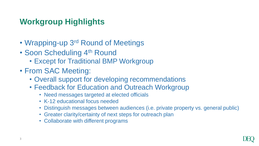# **Workgroup Highlights**

- Wrapping-up 3<sup>rd</sup> Round of Meetings
- Soon Scheduling 4th Round
	- Except for Traditional BMP Workgroup
- From SAC Meeting:
	- Overall support for developing recommendations
	- Feedback for Education and Outreach Workgroup
		- Need messages targeted at elected officials
		- K-12 educational focus needed
		- Distinguish messages between audiences (i.e. private property vs. general public)
		- Greater clarity/certainty of next steps for outreach plan
		- Collaborate with different programs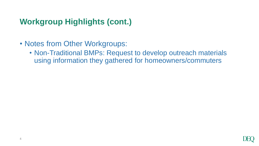# **Workgroup Highlights (cont.)**

- Notes from Other Workgroups:
	- Non-Traditional BMPs: Request to develop outreach materials using information they gathered for homeowners/commuters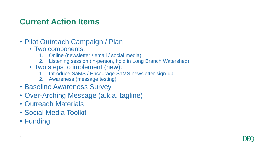### **Current Action Items**

- Pilot Outreach Campaign / Plan
	- Two components:
		- 1. Online (newsletter / email / social media)
		- 2. Listening session (in-person, hold in Long Branch Watershed)
	- Two steps to implement (new):
		- 1. Introduce SaMS / Encourage SaMS newsletter sign-up
		- 2. Awareness (message testing)
- Baseline Awareness Survey
- Over-Arching Message (a.k.a. tagline)
- Outreach Materials
- Social Media Toolkit
- Funding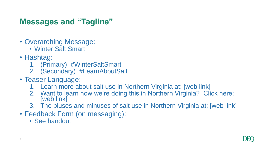## **Messages and "Tagline"**

- Overarching Message:
	- Winter Salt Smart
- Hashtag:
	- 1. (Primary) #WinterSaltSmart
	- 2. (Secondary) #LearnAboutSalt
- Teaser Language:
	- 1. Learn more about salt use in Northern Virginia at: [web link]
	- 2. Want to learn how we're doing this in Northern Virginia? Click here: [web link]
	- 3. The pluses and minuses of salt use in Northern Virginia at: [web link]
- Feedback Form (on messaging):
	- See handout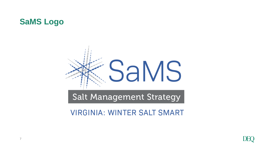



**Salt Management Strategy** 

**VIRGINIA: WINTER SALT SMART** 

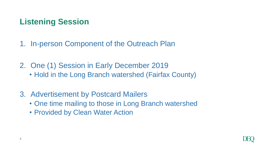# **Listening Session**

1. In-person Component of the Outreach Plan

2. One (1) Session in Early December 2019 • Hold in the Long Branch watershed (Fairfax County)

- 3. Advertisement by Postcard Mailers
	- One time mailing to those in Long Branch watershed
	- Provided by Clean Water Action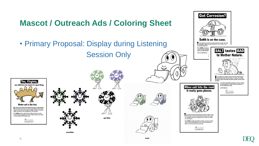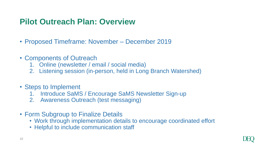#### **Pilot Outreach Plan: Overview**

- Proposed Timeframe: November December 2019
- Components of Outreach
	- 1. Online (newsletter / email / social media)
	- 2. Listening session (in-person, held in Long Branch Watershed)
- Steps to Implement
	- Introduce SaMS / Encourage SaMS Newsletter Sign-up
	- 2. Awareness Outreach (test messaging)
- Form Subgroup to Finalize Details
	- Work through implementation details to encourage coordinated effort
	- Helpful to include communication staff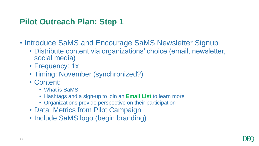#### **Pilot Outreach Plan: Step 1**

- Introduce SaMS and Encourage SaMS Newsletter Signup
	- Distribute content via organizations' choice (email, newsletter, social media)
	- Frequency: 1x
	- Timing: November (synchronized?)
	- Content:
		- What is SaMS
		- Hashtags and a sign-up to join an **Email List** to learn more
		- Organizations provide perspective on their participation
	- Data: Metrics from Pilot Campaign
	- Include SaMS logo (begin branding)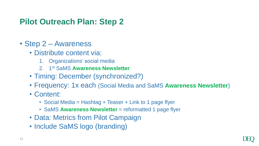## **Pilot Outreach Plan: Step 2**

- Step 2 Awareness
	- Distribute content via:
		- 1. Organizations' social media
		- 2. 1 st SaMS **Awareness Newsletter**
	- Timing: December (synchronized?)
	- Frequency: 1x each (Social Media and SaMS **Awareness Newsletter**)
	- Content:
		- Social Media = Hashtag + Teaser + Link to 1 page flyer
		- SaMS Awareness Newsletter = reformatted 1 page flyer
	- Data: Metrics from Pilot Campaign
	- Include SaMS logo (branding)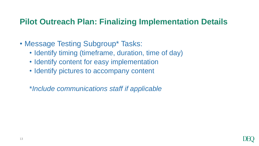#### **Pilot Outreach Plan: Finalizing Implementation Details**

- Message Testing Subgroup\* Tasks:
	- Identify timing (timeframe, duration, time of day)
	- Identify content for easy implementation
	- Identify pictures to accompany content
	- \**Include communications staff if applicable*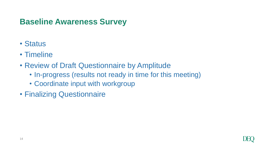# **Baseline Awareness Survey**

- Status
- Timeline
- Review of Draft Questionnaire by Amplitude
	- In-progress (results not ready in time for this meeting)
	- Coordinate input with workgroup
- Finalizing Questionnaire

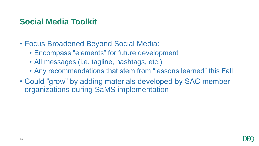# **Social Media Toolkit**

- Focus Broadened Beyond Social Media:
	- Encompass "elements" for future development
	- All messages (i.e. tagline, hashtags, etc.)
	- Any recommendations that stem from "lessons learned" this Fall
- Could "grow" by adding materials developed by SAC member organizations during SaMS implementation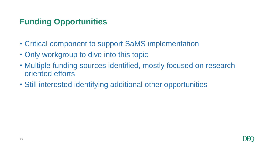# **Funding Opportunities**

- Critical component to support SaMS implementation
- Only workgroup to dive into this topic
- Multiple funding sources identified, mostly focused on research oriented efforts
- Still interested identifying additional other opportunities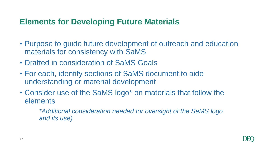#### **Elements for Developing Future Materials**

- Purpose to guide future development of outreach and education materials for consistency with SaMS
- Drafted in consideration of SaMS Goals
- For each, identify sections of SaMS document to aide understanding or material development
- Consider use of the SaMS logo\* on materials that follow the elements

*\*Additional consideration needed for oversight of the SaMS logo and its use)*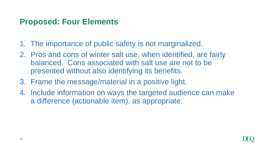#### **Proposed: Four Elements**

- 1. The importance of public safety is not marginalized.
- 2. Pros and cons of winter salt use, when identified, are fairly balanced. Cons associated with salt use are not to be presented without also identifying its benefits.
- 3. Frame the message/material in a positive light.
- 4. Include information on ways the targeted audience can make a difference (actionable item), as appropriate.

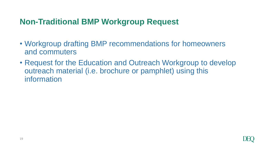#### **Non-Traditional BMP Workgroup Request**

- Workgroup drafting BMP recommendations for homeowners and commuters
- Request for the Education and Outreach Workgroup to develop outreach material (i.e. brochure or pamphlet) using this information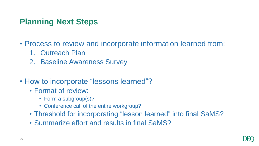#### **Planning Next Steps**

- Process to review and incorporate information learned from:
	- 1. Outreach Plan
	- 2. Baseline Awareness Survey
- How to incorporate "lessons learned"?
	- Format of review:
		- Form a subgroup(s)?
		- Conference call of the entire workgroup?
	- Threshold for incorporating "lesson learned" into final SaMS?
	- Summarize effort and results in final SaMS?